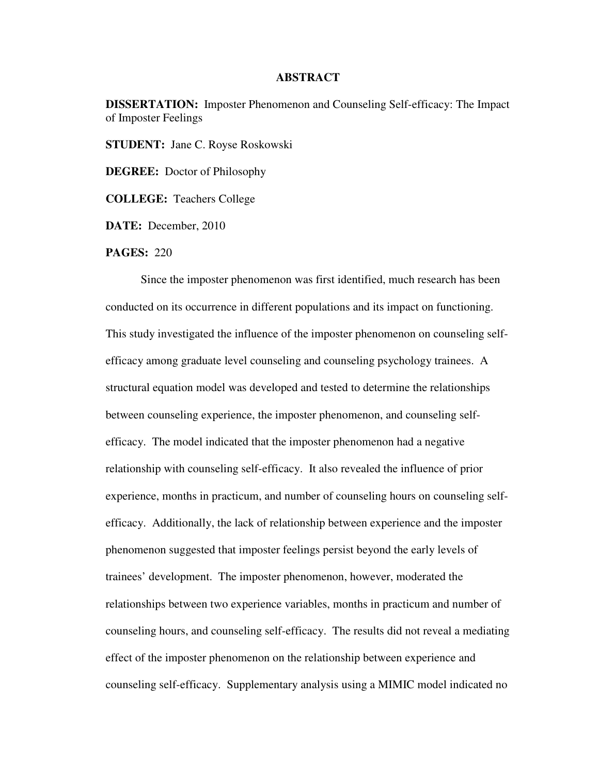## **ABSTRACT**

**DISSERTATION:** Imposter Phenomenon and Counseling Self-efficacy: The Impact of Imposter Feelings

**STUDENT:** Jane C. Royse Roskowski

**DEGREE:** Doctor of Philosophy

**COLLEGE:** Teachers College

**DATE:** December, 2010

**PAGES:** 220

Since the imposter phenomenon was first identified, much research has been conducted on its occurrence in different populations and its impact on functioning. This study investigated the influence of the imposter phenomenon on counseling selfefficacy among graduate level counseling and counseling psychology trainees. A structural equation model was developed and tested to determine the relationships between counseling experience, the imposter phenomenon, and counseling selfefficacy. The model indicated that the imposter phenomenon had a negative relationship with counseling self-efficacy. It also revealed the influence of prior experience, months in practicum, and number of counseling hours on counseling selfefficacy. Additionally, the lack of relationship between experience and the imposter phenomenon suggested that imposter feelings persist beyond the early levels of trainees' development. The imposter phenomenon, however, moderated the relationships between two experience variables, months in practicum and number of counseling hours, and counseling self-efficacy. The results did not reveal a mediating effect of the imposter phenomenon on the relationship between experience and counseling self-efficacy. Supplementary analysis using a MIMIC model indicated no